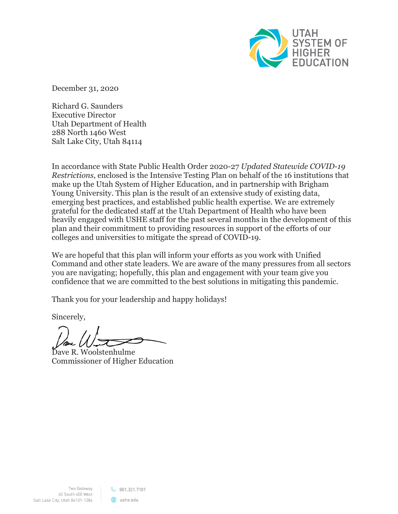

December 31, 2020

Richard G. Saunders Executive Director Utah Department of Health 288 North 1460 West Salt Lake City, Utah 84114

In accordance with State Public Health Order 2020-27 *Updated Statewide COVID-19 Restrictions*, enclosed is the Intensive Testing Plan on behalf of the 16 institutions that make up the Utah System of Higher Education, and in partnership with Brigham Young University. This plan is the result of an extensive study of existing data, emerging best practices, and established public health expertise. We are extremely grateful for the dedicated staff at the Utah Department of Health who have been heavily engaged with USHE staff for the past several months in the development of this plan and their commitment to providing resources in support of the efforts of our colleges and universities to mitigate the spread of COVID-19.

We are hopeful that this plan will inform your efforts as you work with Unified Command and other state leaders. We are aware of the many pressures from all sectors you are navigating; hopefully, this plan and engagement with your team give you confidence that we are committed to the best solutions in mitigating this pandemic.

Thank you for your leadership and happy holidays!

Sincerely,

Dave R. Woolstenhulme Commissioner of Higher Education

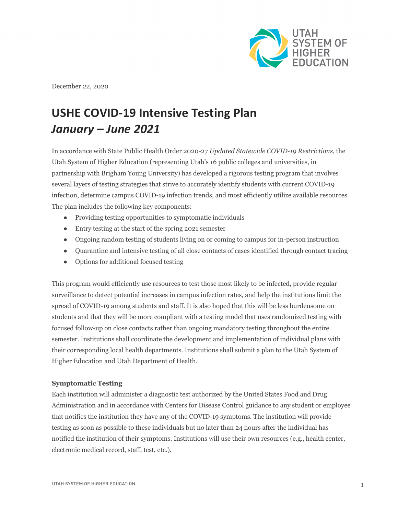

December 22, 2020

# **USHE COVID-19 Intensive Testing Plan** *January – June 2021*

In accordance with State Public Health Order 2020-27 *Updated Statewide COVID-19 Restrictions*, the Utah System of Higher Education (representing Utah's 16 public colleges and universities, in partnership with Brigham Young University) has developed a rigorous testing program that involves several layers of testing strategies that strive to accurately identify students with current COVID-19 infection, determine campus COVID-19 infection trends, and most efficiently utilize available resources. The plan includes the following key components:

- Providing testing opportunities to symptomatic individuals
- Entry testing at the start of the spring 2021 semester
- Ongoing random testing of students living on or coming to campus for in-person instruction
- Quarantine and intensive testing of all close contacts of cases identified through contact tracing
- Options for additional focused testing

This program would efficiently use resources to test those most likely to be infected, provide regular surveillance to detect potential increases in campus infection rates, and help the institutions limit the spread of COVID-19 among students and staff. It is also hoped that this will be less burdensome on students and that they will be more compliant with a testing model that uses randomized testing with focused follow-up on close contacts rather than ongoing mandatory testing throughout the entire semester. Institutions shall coordinate the development and implementation of individual plans with their corresponding local health departments. Institutions shall submit a plan to the Utah System of Higher Education and Utah Department of Health.

#### **Symptomatic Testing**

Each institution will administer a diagnostic test authorized by the United States Food and Drug Administration and in accordance with Centers for Disease Control guidance to any student or employee that notifies the institution they have any of the COVID-19 symptoms. The institution will provide testing as soon as possible to these individuals but no later than 24 hours after the individual has notified the institution of their symptoms. Institutions will use their own resources (e.g., health center, electronic medical record, staff, test, etc.).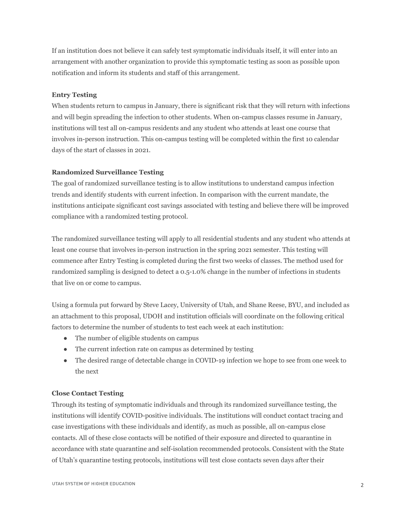If an institution does not believe it can safely test symptomatic individuals itself, it will enter into an arrangement with another organization to provide this symptomatic testing as soon as possible upon notification and inform its students and staff of this arrangement.

## **Entry Testing**

When students return to campus in January, there is significant risk that they will return with infections and will begin spreading the infection to other students. When on-campus classes resume in January, institutions will test all on-campus residents and any student who attends at least one course that involves in-person instruction. This on-campus testing will be completed within the first 10 calendar days of the start of classes in 2021.

## **Randomized Surveillance Testing**

The goal of randomized surveillance testing is to allow institutions to understand campus infection trends and identify students with current infection. In comparison with the current mandate, the institutions anticipate significant cost savings associated with testing and believe there will be improved compliance with a randomized testing protocol.

The randomized surveillance testing will apply to all residential students and any student who attends at least one course that involves in-person instruction in the spring 2021 semester. This testing will commence after Entry Testing is completed during the first two weeks of classes. The method used for randomized sampling is designed to detect a 0.5-1.0% change in the number of infections in students that live on or come to campus.

Using a formula put forward by Steve Lacey, University of Utah, and Shane Reese, BYU, and included as an attachment to this proposal, UDOH and institution officials will coordinate on the following critical factors to determine the number of students to test each week at each institution:

- The number of eligible students on campus
- The current infection rate on campus as determined by testing
- The desired range of detectable change in COVID-19 infection we hope to see from one week to the next

#### **Close Contact Testing**

Through its testing of symptomatic individuals and through its randomized surveillance testing, the institutions will identify COVID-positive individuals. The institutions will conduct contact tracing and case investigations with these individuals and identify, as much as possible, all on-campus close contacts. All of these close contacts will be notified of their exposure and directed to quarantine in accordance with state quarantine and self-isolation recommended protocols. Consistent with the State of Utah's quarantine testing protocols, institutions will test close contacts seven days after their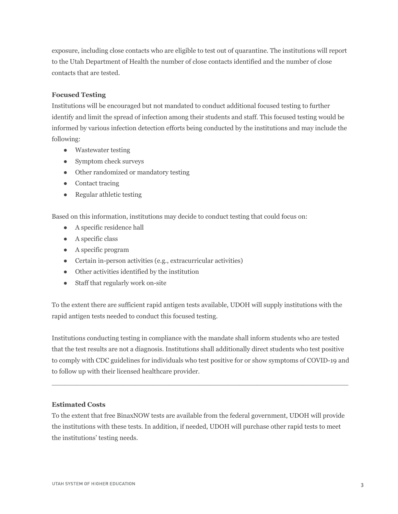exposure, including close contacts who are eligible to test out of quarantine. The institutions will report to the Utah Department of Health the number of close contacts identified and the number of close contacts that are tested.

# **Focused Testing**

Institutions will be encouraged but not mandated to conduct additional focused testing to further identify and limit the spread of infection among their students and staff. This focused testing would be informed by various infection detection efforts being conducted by the institutions and may include the following:

- Wastewater testing
- Symptom check surveys
- Other randomized or mandatory testing
- Contact tracing
- Regular athletic testing

Based on this information, institutions may decide to conduct testing that could focus on:

- A specific residence hall
- A specific class
- A specific program
- Certain in-person activities (e.g., extracurricular activities)
- Other activities identified by the institution
- Staff that regularly work on-site

To the extent there are sufficient rapid antigen tests available, UDOH will supply institutions with the rapid antigen tests needed to conduct this focused testing.

Institutions conducting testing in compliance with the mandate shall inform students who are tested that the test results are not a diagnosis. Institutions shall additionally direct students who test positive to comply with CDC guidelines for individuals who test positive for or show symptoms of COVID-19 and to follow up with their licensed healthcare provider.

 $\_$  , and the state of the state of the state of the state of the state of the state of the state of the state of the state of the state of the state of the state of the state of the state of the state of the state of the

## **Estimated Costs**

To the extent that free BinaxNOW tests are available from the federal government, UDOH will provide the institutions with these tests. In addition, if needed, UDOH will purchase other rapid tests to meet the institutions' testing needs.